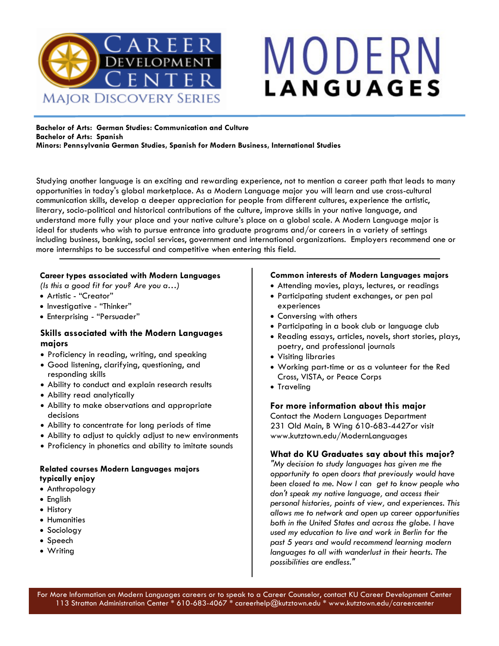

# MODERN **LANGUAGES**

#### **Bachelor of Arts: German Studies: Communication and Culture Bachelor of Arts: Spanish Minors: Pennsylvania German Studies, Spanish for Modern Business, International Studies**

Studying another language is an exciting and rewarding experience, not to mention a career path that leads to many opportunities in today's global marketplace. As a Modern Language major you will learn and use cross-cultural communication skills, develop a deeper appreciation for people from different cultures, experience the artistic, literary, socio-political and historical contributions of the culture, improve skills in your native language, and understand more fully your place and your native culture's place on a global scale. A Modern Language major is ideal for students who wish to pursue entrance into graduate programs and/or careers in a variety of settings including business, banking, social services, government and international organizations. Employers recommend one or more internships to be successful and competitive when entering this field.

### **Career types associated with Modern Languages**

*(Is this a good fit for you? Are you a…)*

- Artistic "Creator"
- Investigative "Thinker"
- Enterprising "Persuader"

### **Skills associated with the Modern Languages majors**

- Proficiency in reading, writing, and speaking
- Good listening, clarifying, questioning, and responding skills
- Ability to conduct and explain research results
- Ability read analytically
- Ability to make observations and appropriate decisions
- Ability to concentrate for long periods of time
- Ability to adjust to quickly adjust to new environments
- Proficiency in phonetics and ability to imitate sounds

### **Related courses Modern Languages majors typically enjoy**

- Anthropology
- English
- History
- Humanities
- Sociology
- Speech
- Writing

### **Common interests of Modern Languages majors**

- Attending movies, plays, lectures, or readings
- Participating student exchanges, or pen pal experiences
- Conversing with others
- Participating in a book club or language club
- Reading essays, articles, novels, short stories, plays, poetry, and professional journals
- Visiting libraries
- Working part-time or as a volunteer for the Red Cross, VISTA, or Peace Corps
- Traveling

### **For more information about this major**

Contact the Modern Languages Department 231 Old Main, B Wing 610-683-4427or visit www.kutztown.edu/ModernLanguages

### **What do KU Graduates say about this major?**

*"My decision to study languages has given me the opportunity to open doors that previously would have been closed to me. Now I can get to know people who don't speak my native language, and access their personal histories, points of view, and experiences. This allows me to network and open up career opportunities both in the United States and across the globe. I have used my education to live and work in Berlin for the past 5 years and would recommend learning modern languages to all with wanderlust in their hearts. The possibilities are endless."*

For More Information on Modern Languages careers or to speak to a Career Counselor, contact KU Career Development Center 113 Stratton Administration Center \* 610-683-4067 \* careerhelp@kutztown.edu \* www.kutztown.edu/careercenter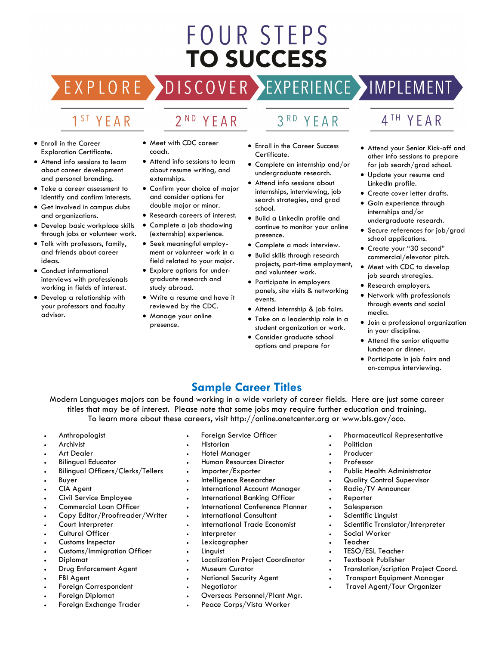## **FOUR STEPS TO SUCCESS**

### DISCOVER EXPERIENCE MOPLEMENT

2<sup>ND</sup> YEAR

### 1<sup>ST</sup> YEAR

EXPLORE >

- Enroll in the Career Exploration Certificate.
- Attend info sessions to learn about career development and personal branding.
- Take a career assessment to identify and confirm interests.
- Get involved in campus clubs and organizations.
- Develop basic workplace skills through jobs or volunteer work.
- Talk with professors, family, and friends about career ideas.
- Conduct informational interviews with professionals working in fields of interest.
- Develop a relationship with your professors and faculty advisor.
- Meet with CDC career coach.
- Attend info sessions to learn about resume writing, and externships.
- Confirm your choice of major and consider options for double major or minor.
- Research careers of interest.
- Complete a job shadowing (externship) experience.
- Seek meaningful employment or volunteer work in a field related to your major.
- Explore options for undergraduate research and study abroad.
- Write a resume and have it reviewed by the CDC.
- Manage your online presence.

#### $3<sup>RD</sup>$ YEAR

- Enroll in the Career Success Certificate.
- Complete an internship and/or undergraduate research.
- Attend info sessions about internships, interviewing, job search strategies, and grad school.
- Build a LinkedIn profile and continue to monitor your online presence.
- Complete a mock interview.
- Build skills through research projects, part-time employment, and volunteer work.
- Participate in employers panels, site visits & networking events.
- Attend internship & job fairs.
- Take on a leadership role in a student organization or work.
- Consider graduate school options and prepare for

### 4TH YEAR

- Attend your Senior Kick-off and other info sessions to prepare for job search/grad school.
- Update your resume and LinkedIn profile.
- Create cover letter drafts.
- Gain experience through internships and/or undergraduate research.
- Secure references for job/grad school applications.
- Create your "30 second" commercial/elevator pitch.
- Meet with CDC to develop job search strategies.
- Research employers.
- Network with professionals through events and social media.
- Join a professional organization in your discipline.
- Attend the senior etiquette luncheon or dinner.
- Participate in job fairs and on-campus interviewing.

### **Sample Career Titles**

Modern Languages majors can be found working in a wide variety of career fields. Here are just some career titles that may be of interest. Please note that some jobs may require further education and training. To learn more about these careers, visit http://online.onetcenter.org or www.bls.gov/oco.

- **Anthropologist**
- **Archivist**
- **Art Dealer**
- Bilingual Educator
- Bilingual Officers/Clerks/Tellers
- **Buyer**
- CIA Agent
- Civil Service Employee
- Commercial Loan Officer
- Copy Editor/Proofreader/Writer
- Court Interpreter
- Cultural Officer
- Customs Inspector
- Customs/Immigration Officer
- Diplomat
- Drug Enforcement Agent
- **FBI Agent**
- Foreign Correspondent
- Foreign Diplomat
- Foreign Exchange Trader
- Foreign Service Officer
- **Historian**
- Hotel Manager
- Human Resources Director
- Importer/Exporter
- Intelligence Researcher
- International Account Manager
- International Banking Officer
- International Conference Planner
- International Consultant
- International Trade Economist
- **Interpreter**
- **Lexicographer**
- **Linguist**
- Localization Project Coordinator
- Museum Curator
- National Security Agent
- **Negotiator**
- Overseas Personnel/Plant Mgr.
- Peace Corps/Vista Worker
- Pharmaceutical Representative
- **Politician**
- Producer
- Professor
- Public Health Administrator
- Quality Control Supervisor
- Radio/TV Announcer
- **Reporter**
- **Salesperson**
- Scientific Linguist
- Scientific Translator/Interpreter

• Translation/scription Project Coord. • Transport Equipment Manager • Travel Agent/Tour Organizer

- Social Worker
- **Teacher**
- TESO/ESL Teacher • Textbook Publisher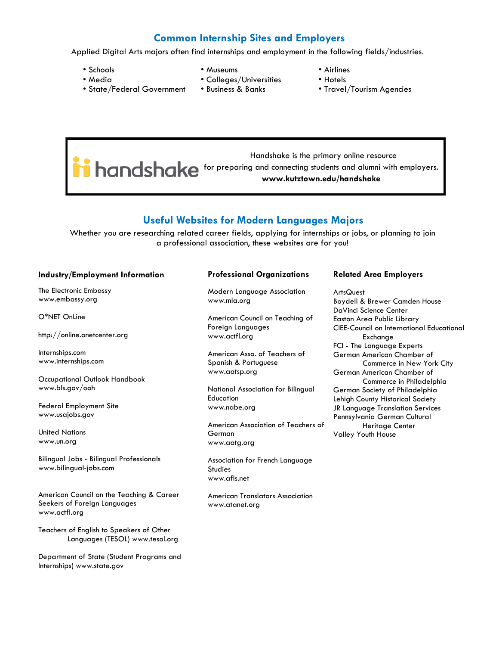### **Common Internship Sites and Employers**

Applied Digital Arts majors often find internships and employment in the following fields/industries.

• Schools • Media

• State/Federal Government

- Museums
- Colleges/Universities
	- Business & Banks
- Airlines
- Hotels
- Travel/Tourism Agencies

 Handshake is the primary online resource **i** handshake for preparing and connecting students and alumni with employers. **www.kutztown.edu/handshake**

### **Useful Websites for Modern Languages Majors**

Whether you are researching related career fields, applying for internships or jobs, or planning to join a professional association, these websites are for you!

#### **Industry/Employment Information**

The Electronic Embassy www.embassy.org

O\*NET OnLine

http://online.onetcenter.org

Internships.com www.internships.com

Occupational Outlook Handbook www.bls.gov/ooh

Federal Employment Site www.usajobs.gov

United Nations www.un.org

Bilingual Jobs - Bilingual Professionals www.bilingual-jobs.com

American Council on the Teaching & Career Seekers of Foreign Languages www.actfl.org

Teachers of English to Speakers of Other Languages (TESOL) www.tesol.org

Department of State (Student Programs and Internships) www.state.gov

### **Professional Organizations**

Modern Language Association www.mla.org

American Council on Teaching of Foreign Languages www.actfl.org

American Asso. of Teachers of Spanish & Portuguese www.aatsp.org

National Association for Bilingual **Education** www.nabe.org

American Association of Teachers of German www.aatg.org

Association for French Language Studies www.afls.net

American Translators Association www.atanet.org

#### **Related Area Employers**

ArtsQuest Boydell & Brewer Camden House DaVinci Science Center Easton Area Public Library CIEE-Council on International Educational Exchange FCI - The Language Experts German American Chamber of Commerce in New York City German American Chamber of Commerce in Philadelphia German Society of Philadelphia Lehigh County Historical Society JR Language Translation Services Pennsylvania German Cultural Heritage Center Valley Youth House